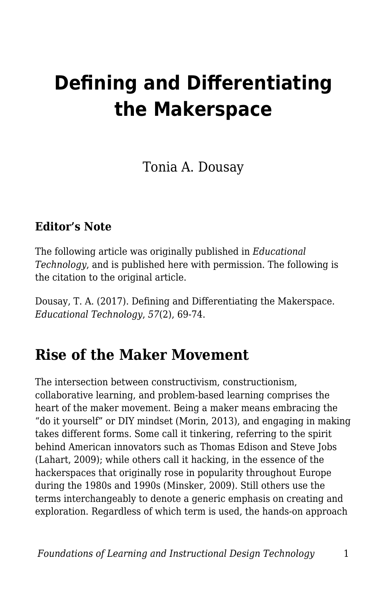# **Defining and Differentiating the Makerspace**

Tonia A. Dousay

#### **Editor's Note**

The following article was originally published in *Educational Technology*, and is published here with permission. The following is the citation to the original article.

Dousay, T. A. (2017). Defining and Differentiating the Makerspace. *Educational Technology*, *57*(2), 69-74.

### **Rise of the Maker Movement**

The intersection between constructivism, constructionism, collaborative learning, and problem-based learning comprises the heart of the maker movement. Being a maker means embracing the "do it yourself" or DIY mindset (Morin, 2013), and engaging in making takes different forms. Some call it tinkering, referring to the spirit behind American innovators such as Thomas Edison and Steve Jobs (Lahart, 2009); while others call it hacking, in the essence of the hackerspaces that originally rose in popularity throughout Europe during the 1980s and 1990s (Minsker, 2009). Still others use the terms interchangeably to denote a generic emphasis on creating and exploration. Regardless of which term is used, the hands-on approach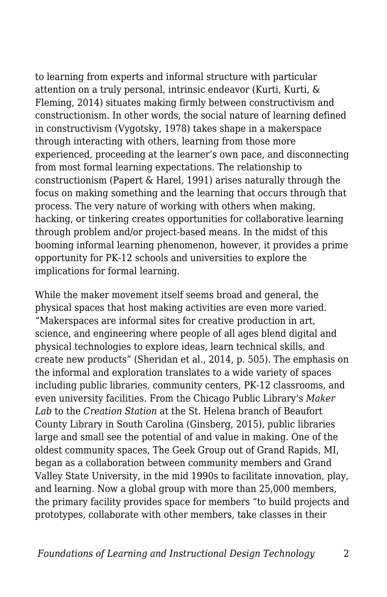to learning from experts and informal structure with particular attention on a truly personal, intrinsic endeavor (Kurti, Kurti, & Fleming, 2014) situates making firmly between constructivism and constructionism. In other words, the social nature of learning defined in constructivism (Vygotsky, 1978) takes shape in a makerspace through interacting with others, learning from those more experienced, proceeding at the learner's own pace, and disconnecting from most formal learning expectations. The relationship to constructionism (Papert & Harel, 1991) arises naturally through the focus on making something and the learning that occurs through that process. The very nature of working with others when making, hacking, or tinkering creates opportunities for collaborative learning through problem and/or project-based means. In the midst of this booming informal learning phenomenon, however, it provides a prime opportunity for PK-12 schools and universities to explore the implications for formal learning.

While the maker movement itself seems broad and general, the physical spaces that host making activities are even more varied. "Makerspaces are informal sites for creative production in art, science, and engineering where people of all ages blend digital and physical technologies to explore ideas, learn technical skills, and create new products" (Sheridan et al., 2014, p. 505). The emphasis on the informal and exploration translates to a wide variety of spaces including public libraries, community centers, PK-12 classrooms, and even university facilities. From the Chicago Public Library's *Maker Lab* to the *Creation Station* at the St. Helena branch of Beaufort County Library in South Carolina (Ginsberg, 2015), public libraries large and small see the potential of and value in making. One of the oldest community spaces, The Geek Group out of Grand Rapids, MI, began as a collaboration between community members and Grand Valley State University, in the mid 1990s to facilitate innovation, play, and learning. Now a global group with more than 25,000 members, the primary facility provides space for members "to build projects and prototypes, collaborate with other members, take classes in their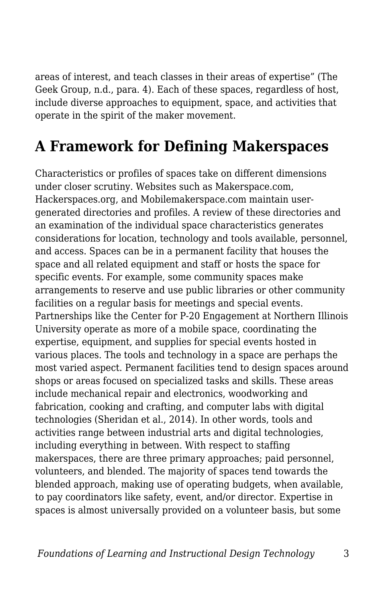areas of interest, and teach classes in their areas of expertise" (The Geek Group, n.d., para. 4). Each of these spaces, regardless of host, include diverse approaches to equipment, space, and activities that operate in the spirit of the maker movement.

# **A Framework for Defining Makerspaces**

Characteristics or profiles of spaces take on different dimensions under closer scrutiny. Websites such as Makerspace.com, Hackerspaces.org, and Mobilemakerspace.com maintain usergenerated directories and profiles. A review of these directories and an examination of the individual space characteristics generates considerations for location, technology and tools available, personnel, and access. Spaces can be in a permanent facility that houses the space and all related equipment and staff or hosts the space for specific events. For example, some community spaces make arrangements to reserve and use public libraries or other community facilities on a regular basis for meetings and special events. Partnerships like the Center for P-20 Engagement at Northern Illinois University operate as more of a mobile space, coordinating the expertise, equipment, and supplies for special events hosted in various places. The tools and technology in a space are perhaps the most varied aspect. Permanent facilities tend to design spaces around shops or areas focused on specialized tasks and skills. These areas include mechanical repair and electronics, woodworking and fabrication, cooking and crafting, and computer labs with digital technologies (Sheridan et al., 2014). In other words, tools and activities range between industrial arts and digital technologies, including everything in between. With respect to staffing makerspaces, there are three primary approaches; paid personnel, volunteers, and blended. The majority of spaces tend towards the blended approach, making use of operating budgets, when available, to pay coordinators like safety, event, and/or director. Expertise in spaces is almost universally provided on a volunteer basis, but some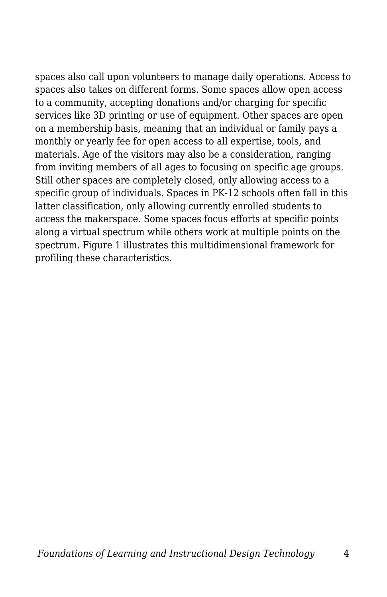spaces also call upon volunteers to manage daily operations. Access to spaces also takes on different forms. Some spaces allow open access to a community, accepting donations and/or charging for specific services like 3D printing or use of equipment. Other spaces are open on a membership basis, meaning that an individual or family pays a monthly or yearly fee for open access to all expertise, tools, and materials. Age of the visitors may also be a consideration, ranging from inviting members of all ages to focusing on specific age groups. Still other spaces are completely closed, only allowing access to a specific group of individuals. Spaces in PK-12 schools often fall in this latter classification, only allowing currently enrolled students to access the makerspace. Some spaces focus efforts at specific points along a virtual spectrum while others work at multiple points on the spectrum. Figure 1 illustrates this multidimensional framework for profiling these characteristics.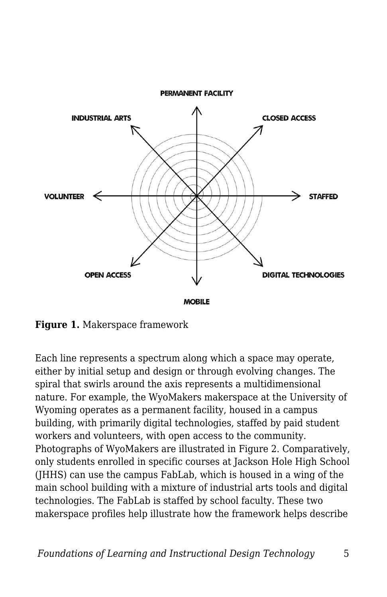

**Figure 1.** Makerspace framework

Each line represents a spectrum along which a space may operate, either by initial setup and design or through evolving changes. The spiral that swirls around the axis represents a multidimensional nature. For example, the WyoMakers makerspace at the University of Wyoming operates as a permanent facility, housed in a campus building, with primarily digital technologies, staffed by paid student workers and volunteers, with open access to the community. Photographs of WyoMakers are illustrated in Figure 2. Comparatively, only students enrolled in specific courses at Jackson Hole High School (JHHS) can use the campus FabLab, which is housed in a wing of the main school building with a mixture of industrial arts tools and digital technologies. The FabLab is staffed by school faculty. These two makerspace profiles help illustrate how the framework helps describe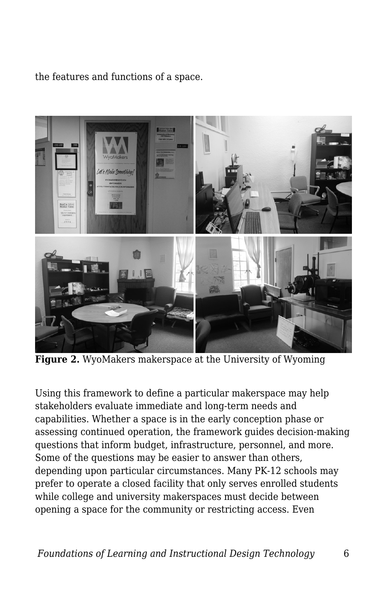the features and functions of a space.



**Figure 2.** WyoMakers makerspace at the University of Wyoming

Using this framework to define a particular makerspace may help stakeholders evaluate immediate and long-term needs and capabilities. Whether a space is in the early conception phase or assessing continued operation, the framework guides decision-making questions that inform budget, infrastructure, personnel, and more. Some of the questions may be easier to answer than others, depending upon particular circumstances. Many PK-12 schools may prefer to operate a closed facility that only serves enrolled students while college and university makerspaces must decide between opening a space for the community or restricting access. Even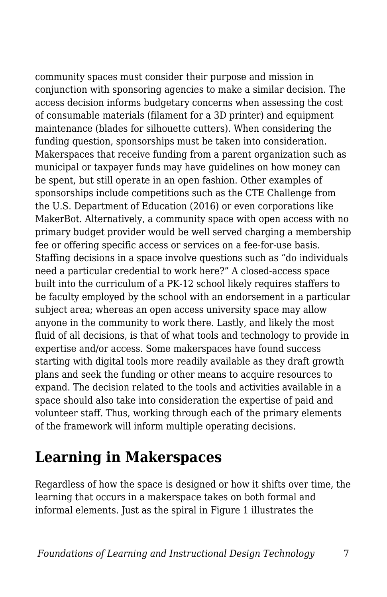community spaces must consider their purpose and mission in conjunction with sponsoring agencies to make a similar decision. The access decision informs budgetary concerns when assessing the cost of consumable materials (filament for a 3D printer) and equipment maintenance (blades for silhouette cutters). When considering the funding question, sponsorships must be taken into consideration. Makerspaces that receive funding from a parent organization such as municipal or taxpayer funds may have guidelines on how money can be spent, but still operate in an open fashion. Other examples of sponsorships include competitions such as the CTE Challenge from the U.S. Department of Education (2016) or even corporations like MakerBot. Alternatively, a community space with open access with no primary budget provider would be well served charging a membership fee or offering specific access or services on a fee-for-use basis. Staffing decisions in a space involve questions such as "do individuals need a particular credential to work here?" A closed-access space built into the curriculum of a PK-12 school likely requires staffers to be faculty employed by the school with an endorsement in a particular subject area; whereas an open access university space may allow anyone in the community to work there. Lastly, and likely the most fluid of all decisions, is that of what tools and technology to provide in expertise and/or access. Some makerspaces have found success starting with digital tools more readily available as they draft growth plans and seek the funding or other means to acquire resources to expand. The decision related to the tools and activities available in a space should also take into consideration the expertise of paid and volunteer staff. Thus, working through each of the primary elements of the framework will inform multiple operating decisions.

## **Learning in Makerspaces**

Regardless of how the space is designed or how it shifts over time, the learning that occurs in a makerspace takes on both formal and informal elements. Just as the spiral in Figure 1 illustrates the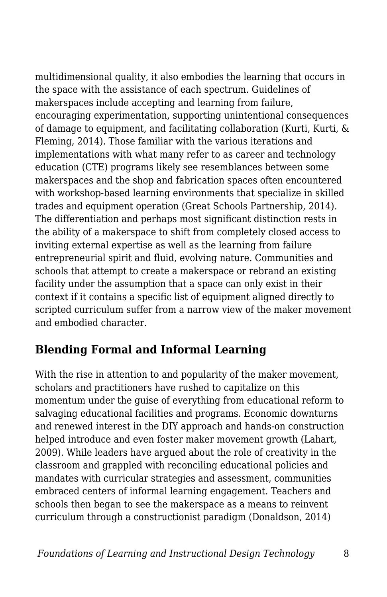multidimensional quality, it also embodies the learning that occurs in the space with the assistance of each spectrum. Guidelines of makerspaces include accepting and learning from failure, encouraging experimentation, supporting unintentional consequences of damage to equipment, and facilitating collaboration (Kurti, Kurti, & Fleming, 2014). Those familiar with the various iterations and implementations with what many refer to as career and technology education (CTE) programs likely see resemblances between some makerspaces and the shop and fabrication spaces often encountered with workshop-based learning environments that specialize in skilled trades and equipment operation (Great Schools Partnership, 2014). The differentiation and perhaps most significant distinction rests in the ability of a makerspace to shift from completely closed access to inviting external expertise as well as the learning from failure entrepreneurial spirit and fluid, evolving nature. Communities and schools that attempt to create a makerspace or rebrand an existing facility under the assumption that a space can only exist in their context if it contains a specific list of equipment aligned directly to scripted curriculum suffer from a narrow view of the maker movement and embodied character.

### **Blending Formal and Informal Learning**

With the rise in attention to and popularity of the maker movement, scholars and practitioners have rushed to capitalize on this momentum under the guise of everything from educational reform to salvaging educational facilities and programs. Economic downturns and renewed interest in the DIY approach and hands-on construction helped introduce and even foster maker movement growth (Lahart, 2009). While leaders have argued about the role of creativity in the classroom and grappled with reconciling educational policies and mandates with curricular strategies and assessment, communities embraced centers of informal learning engagement. Teachers and schools then began to see the makerspace as a means to reinvent curriculum through a constructionist paradigm (Donaldson, 2014)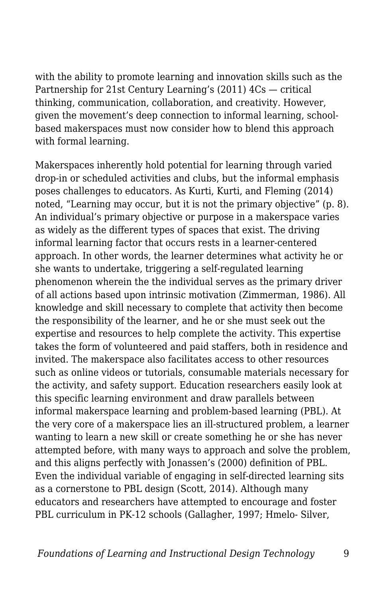with the ability to promote learning and innovation skills such as the Partnership for 21st Century Learning's (2011) 4Cs — critical thinking, communication, collaboration, and creativity. However, given the movement's deep connection to informal learning, schoolbased makerspaces must now consider how to blend this approach with formal learning.

Makerspaces inherently hold potential for learning through varied drop-in or scheduled activities and clubs, but the informal emphasis poses challenges to educators. As Kurti, Kurti, and Fleming (2014) noted, "Learning may occur, but it is not the primary objective" (p. 8). An individual's primary objective or purpose in a makerspace varies as widely as the different types of spaces that exist. The driving informal learning factor that occurs rests in a learner-centered approach. In other words, the learner determines what activity he or she wants to undertake, triggering a self-regulated learning phenomenon wherein the the individual serves as the primary driver of all actions based upon intrinsic motivation (Zimmerman, 1986). All knowledge and skill necessary to complete that activity then become the responsibility of the learner, and he or she must seek out the expertise and resources to help complete the activity. This expertise takes the form of volunteered and paid staffers, both in residence and invited. The makerspace also facilitates access to other resources such as online videos or tutorials, consumable materials necessary for the activity, and safety support. Education researchers easily look at this specific learning environment and draw parallels between informal makerspace learning and problem-based learning (PBL). At the very core of a makerspace lies an ill-structured problem, a learner wanting to learn a new skill or create something he or she has never attempted before, with many ways to approach and solve the problem, and this aligns perfectly with Jonassen's (2000) definition of PBL. Even the individual variable of engaging in self-directed learning sits as a cornerstone to PBL design (Scott, 2014). Although many educators and researchers have attempted to encourage and foster PBL curriculum in PK-12 schools (Gallagher, 1997; Hmelo- Silver,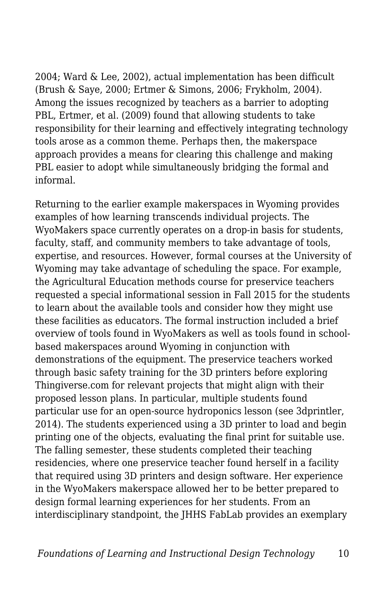2004; Ward & Lee, 2002), actual implementation has been difficult (Brush & Saye, 2000; Ertmer & Simons, 2006; Frykholm, 2004). Among the issues recognized by teachers as a barrier to adopting PBL, Ertmer, et al. (2009) found that allowing students to take responsibility for their learning and effectively integrating technology tools arose as a common theme. Perhaps then, the makerspace approach provides a means for clearing this challenge and making PBL easier to adopt while simultaneously bridging the formal and informal.

Returning to the earlier example makerspaces in Wyoming provides examples of how learning transcends individual projects. The WyoMakers space currently operates on a drop-in basis for students, faculty, staff, and community members to take advantage of tools, expertise, and resources. However, formal courses at the University of Wyoming may take advantage of scheduling the space. For example, the Agricultural Education methods course for preservice teachers requested a special informational session in Fall 2015 for the students to learn about the available tools and consider how they might use these facilities as educators. The formal instruction included a brief overview of tools found in WyoMakers as well as tools found in schoolbased makerspaces around Wyoming in conjunction with demonstrations of the equipment. The preservice teachers worked through basic safety training for the 3D printers before exploring Thingiverse.com for relevant projects that might align with their proposed lesson plans. In particular, multiple students found particular use for an open-source hydroponics lesson (see 3dprintler, 2014). The students experienced using a 3D printer to load and begin printing one of the objects, evaluating the final print for suitable use. The falling semester, these students completed their teaching residencies, where one preservice teacher found herself in a facility that required using 3D printers and design software. Her experience in the WyoMakers makerspace allowed her to be better prepared to design formal learning experiences for her students. From an interdisciplinary standpoint, the JHHS FabLab provides an exemplary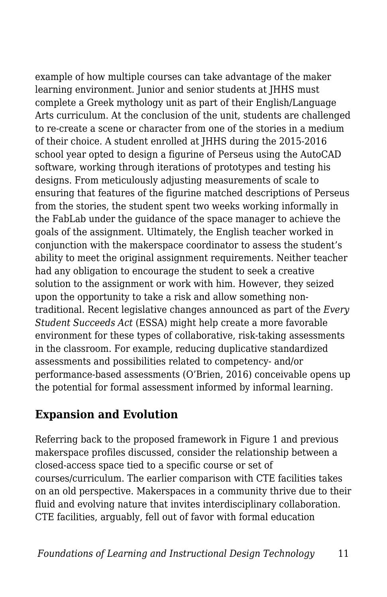example of how multiple courses can take advantage of the maker learning environment. Junior and senior students at JHHS must complete a Greek mythology unit as part of their English/Language Arts curriculum. At the conclusion of the unit, students are challenged to re-create a scene or character from one of the stories in a medium of their choice. A student enrolled at JHHS during the 2015-2016 school year opted to design a figurine of Perseus using the AutoCAD software, working through iterations of prototypes and testing his designs. From meticulously adjusting measurements of scale to ensuring that features of the figurine matched descriptions of Perseus from the stories, the student spent two weeks working informally in the FabLab under the guidance of the space manager to achieve the goals of the assignment. Ultimately, the English teacher worked in conjunction with the makerspace coordinator to assess the student's ability to meet the original assignment requirements. Neither teacher had any obligation to encourage the student to seek a creative solution to the assignment or work with him. However, they seized upon the opportunity to take a risk and allow something nontraditional. Recent legislative changes announced as part of the *Every Student Succeeds Act* (ESSA) might help create a more favorable environment for these types of collaborative, risk-taking assessments in the classroom. For example, reducing duplicative standardized assessments and possibilities related to competency- and/or performance-based assessments (O'Brien, 2016) conceivable opens up the potential for formal assessment informed by informal learning.

#### **Expansion and Evolution**

Referring back to the proposed framework in Figure 1 and previous makerspace profiles discussed, consider the relationship between a closed-access space tied to a specific course or set of courses/curriculum. The earlier comparison with CTE facilities takes on an old perspective. Makerspaces in a community thrive due to their fluid and evolving nature that invites interdisciplinary collaboration. CTE facilities, arguably, fell out of favor with formal education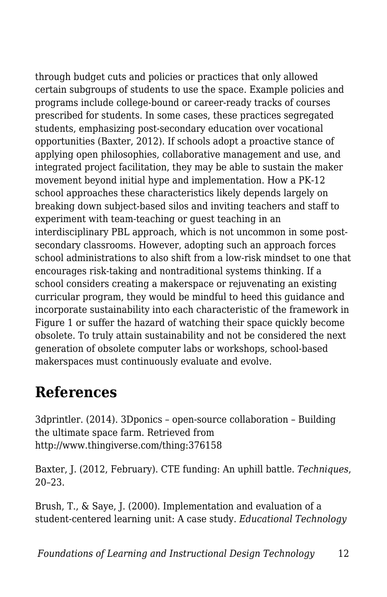through budget cuts and policies or practices that only allowed certain subgroups of students to use the space. Example policies and programs include college-bound or career-ready tracks of courses prescribed for students. In some cases, these practices segregated students, emphasizing post-secondary education over vocational opportunities (Baxter, 2012). If schools adopt a proactive stance of applying open philosophies, collaborative management and use, and integrated project facilitation, they may be able to sustain the maker movement beyond initial hype and implementation. How a PK-12 school approaches these characteristics likely depends largely on breaking down subject-based silos and inviting teachers and staff to experiment with team-teaching or guest teaching in an interdisciplinary PBL approach, which is not uncommon in some postsecondary classrooms. However, adopting such an approach forces school administrations to also shift from a low-risk mindset to one that encourages risk-taking and nontraditional systems thinking. If a school considers creating a makerspace or rejuvenating an existing curricular program, they would be mindful to heed this guidance and incorporate sustainability into each characteristic of the framework in Figure 1 or suffer the hazard of watching their space quickly become obsolete. To truly attain sustainability and not be considered the next generation of obsolete computer labs or workshops, school-based makerspaces must continuously evaluate and evolve.

### **References**

3dprintler. (2014). 3Dponics – open-source collaboration – Building the ultimate space farm. Retrieved from http://www.thingiverse.com/thing:376158

Baxter, J. (2012, February). CTE funding: An uphill battle. *Techniques*, 20–23.

Brush, T., & Saye, J. (2000). Implementation and evaluation of a student-centered learning unit: A case study. *Educational Technology*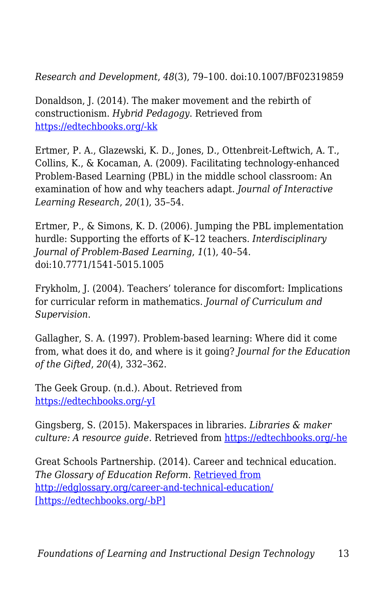*Research and Development*, *48*(3), 79–100. doi:10.1007/BF02319859

Donaldson, J. (2014). The maker movement and the rebirth of constructionism. *Hybrid Pedagogy*. Retrieved from [https://edtechbooks.org/-kk](http://www.hybridpedagogy.com/journal/constructionism-reborn/)

Ertmer, P. A., Glazewski, K. D., Jones, D., Ottenbreit-Leftwich, A. T., Collins, K., & Kocaman, A. (2009). Facilitating technology-enhanced Problem-Based Learning (PBL) in the middle school classroom: An examination of how and why teachers adapt. *Journal of Interactive Learning Research*, *20*(1), 35–54.

Ertmer, P., & Simons, K. D. (2006). Jumping the PBL implementation hurdle: Supporting the efforts of K–12 teachers. *Interdisciplinary Journal of Problem-Based Learning*, *1*(1), 40–54. doi:10.7771/1541-5015.1005

Frykholm, J. (2004). Teachers' tolerance for discomfort: Implications for curricular reform in mathematics. *Journal of Curriculum and Supervision*.

Gallagher, S. A. (1997). Problem-based learning: Where did it come from, what does it do, and where is it going? *Journal for the Education of the Gifted*, *20*(4), 332–362.

The Geek Group. (n.d.). About. Retrieved from [https://edtechbooks.org/-yI](http://thegeekgroup.org/about-2/)

Gingsberg, S. (2015). Makerspaces in libraries. *Libraries & maker culture: A resource guide*. Retrieved from [https://edtechbooks.org/-he](http://library-maker-culture.weebly.com/makerspaces-in-libraries.html)

Great Schools Partnership. (2014). Career and technical education. *The Glossary of Education Reform*. [Retrieved from](http://edglossary.org/career-and-technical-education/) <http://edglossary.org/career-and-technical-education/> [\[https://edtechbooks.org/-bP\]](http://edglossary.org/career-and-technical-education/)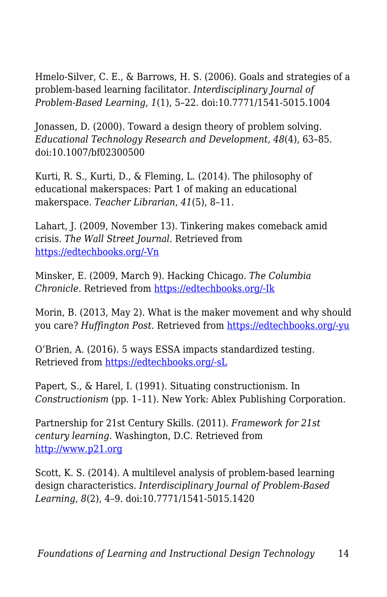Hmelo-Silver, C. E., & Barrows, H. S. (2006). Goals and strategies of a problem-based learning facilitator. *Interdisciplinary Journal of Problem-Based Learning*, *1*(1), 5–22. doi:10.7771/1541-5015.1004

Jonassen, D. (2000). Toward a design theory of problem solving. *Educational Technology Research and Development*, *48*(4), 63–85. doi:10.1007/bf02300500

Kurti, R. S., Kurti, D., & Fleming, L. (2014). The philosophy of educational makerspaces: Part 1 of making an educational makerspace. *Teacher Librarian*, *41*(5), 8–11.

Lahart, J. (2009, November 13). Tinkering makes comeback amid crisis. *The Wall Street Journal*. Retrieved from [https://edtechbooks.org/-Vn](http://www.wsj.com/articles/SB125798004542744219)

Minsker, E. (2009, March 9). Hacking Chicago. *The Columbia Chronicle*. Retrieved from [https://edtechbooks.org/-Ik](http://www.columbiachronicle.com/arts_and_culture/article_725403c9-47cd-5fa7-b8fd-66ce617312dd.html)

Morin, B. (2013, May 2). What is the maker movement and why should you care? *Huffington Post*. Retrieved from [https://edtechbooks.org/-yu](http://www.huffingtonpost.com/brit-morin/what-is-the-maker-movemen_b_3201977.html)

O'Brien, A. (2016). 5 ways ESSA impacts standardized testing. Retrieved from [https://edtechbooks.org/-sL](http://www.edutopia.org/blog/5-ways-essa-impacts-standardized-testing-anne-obrien)

Papert, S., & Harel, I. (1991). Situating constructionism. In *Constructionism* (pp. 1–11). New York: Ablex Publishing Corporation.

Partnership for 21st Century Skills. (2011). *Framework for 21st century learning*. Washington, D.C. Retrieved from [http://www.p21.org](http://www.p21.org/)

Scott, K. S. (2014). A multilevel analysis of problem-based learning design characteristics. *Interdisciplinary Journal of Problem-Based Learning*, *8*(2), 4–9. doi:10.7771/1541-5015.1420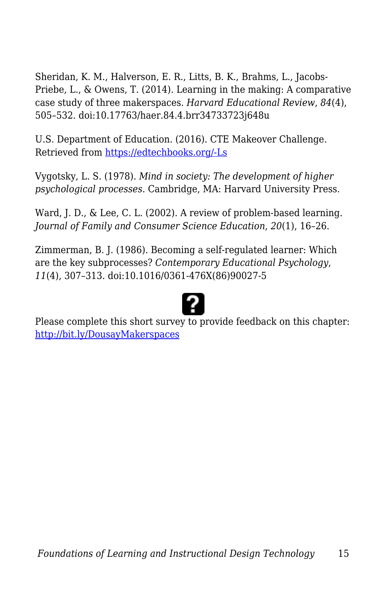Sheridan, K. M., Halverson, E. R., Litts, B. K., Brahms, L., Jacobs-Priebe, L., & Owens, T. (2014). Learning in the making: A comparative case study of three makerspaces. *Harvard Educational Review*, *84*(4), 505–532. doi:10.17763/haer.84.4.brr34733723j648u

U.S. Department of Education. (2016). CTE Makeover Challenge. Retrieved from [https://edtechbooks.org/-Ls](http://www.ctemakeoverchallenge.com/challenge-details/challenge/)

Vygotsky, L. S. (1978). *Mind in society: The development of higher psychological processes*. Cambridge, MA: Harvard University Press.

Ward, J. D., & Lee, C. L. (2002). A review of problem-based learning. *Journal of Family and Consumer Science Education*, *20*(1), 16–26.

Zimmerman, B. J. (1986). Becoming a self-regulated learner: Which are the key subprocesses? *Contemporary Educational Psychology*, *11*(4), 307–313. doi:10.1016/0361-476X(86)90027-5



Please complete this short survey to provide feedback on this chapter: <http://bit.ly/DousayMakerspaces>